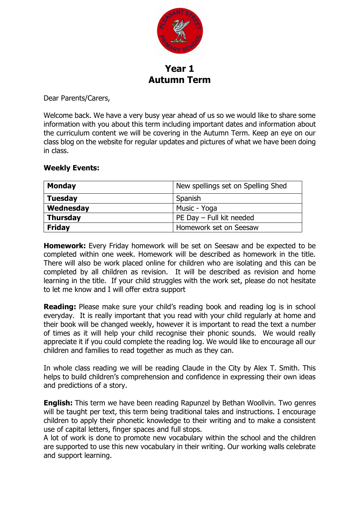

## **Year 1 Autumn Term**

Dear Parents/Carers,

Welcome back. We have a very busy year ahead of us so we would like to share some information with you about this term including important dates and information about the curriculum content we will be covering in the Autumn Term. Keep an eye on our class blog on the website for regular updates and pictures of what we have been doing in class.

## **Weekly Events:**

| <b>Monday</b>   | New spellings set on Spelling Shed |
|-----------------|------------------------------------|
| <b>Tuesday</b>  | Spanish                            |
| Wednesday       | Music - Yoga                       |
| <b>Thursday</b> | PE Day - Full kit needed           |
| <b>Friday</b>   | Homework set on Seesaw             |

**Homework:** Every Friday homework will be set on Seesaw and be expected to be completed within one week. Homework will be described as homework in the title. There will also be work placed online for children who are isolating and this can be completed by all children as revision. It will be described as revision and home learning in the title. If your child struggles with the work set, please do not hesitate to let me know and I will offer extra support

**Reading:** Please make sure your child's reading book and reading log is in school everyday. It is really important that you read with your child regularly at home and their book will be changed weekly, however it is important to read the text a number of times as it will help your child recognise their phonic sounds. We would really appreciate it if you could complete the reading log. We would like to encourage all our children and families to read together as much as they can.

In whole class reading we will be reading Claude in the City by Alex T. Smith. This helps to build children's comprehension and confidence in expressing their own ideas and predictions of a story.

**English:** This term we have been reading Rapunzel by Bethan Woollvin. Two genres will be taught per text, this term being traditional tales and instructions. I encourage children to apply their phonetic knowledge to their writing and to make a consistent use of capital letters, finger spaces and full stops.

A lot of work is done to promote new vocabulary within the school and the children are supported to use this new vocabulary in their writing. Our working walls celebrate and support learning.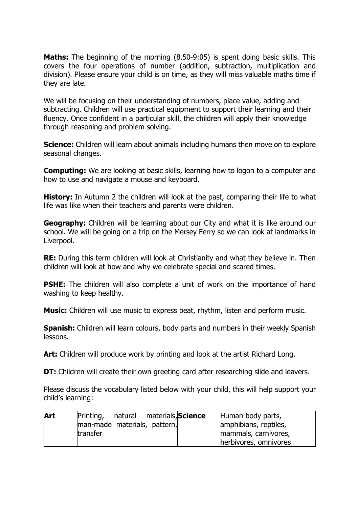**Maths:** The beginning of the morning (8.50-9:05) is spent doing basic skills. This covers the four operations of number (addition, subtraction, multiplication and division). Please ensure your child is on time, as they will miss valuable maths time if they are late.

We will be focusing on their understanding of numbers, place value, adding and subtracting. Children will use practical equipment to support their learning and their fluency. Once confident in a particular skill, the children will apply their knowledge through reasoning and problem solving.

**Science:** Children will learn about animals including humans then move on to explore seasonal changes.

**Computing:** We are looking at basic skills, learning how to logon to a computer and how to use and navigate a mouse and keyboard.

**History:** In Autumn 2 the children will look at the past, comparing their life to what life was like when their teachers and parents were children.

**Geography:** Children will be learning about our City and what it is like around our school. We will be going on a trip on the Mersey Ferry so we can look at landmarks in Liverpool.

**RE:** During this term children will look at Christianity and what they believe in. Then children will look at how and why we celebrate special and scared times.

**PSHE:** The children will also complete a unit of work on the importance of hand washing to keep healthy.

**Music:** Children will use music to express beat, rhythm, listen and perform music.

**Spanish:** Children will learn colours, body parts and numbers in their weekly Spanish lessons.

**Art:** Children will produce work by printing and look at the artist Richard Long.

**DT:** Children will create their own greeting card after researching slide and leavers.

Please discuss the vocabulary listed below with your child, this will help support your child's learning:

| Art | Printing,                    | natural materials, Science |  | Human body parts,     |
|-----|------------------------------|----------------------------|--|-----------------------|
|     | man-made materials, pattern, |                            |  | amphibians, reptiles, |
|     | transfer                     |                            |  | mammals, carnivores,  |
|     |                              |                            |  | herbivores, omnivores |